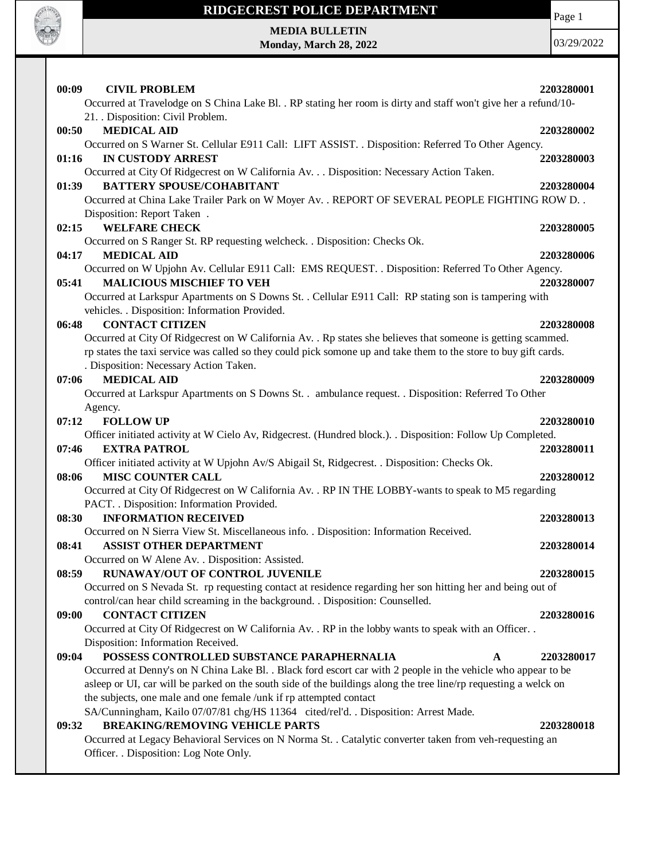

## **RIDGECREST POLICE DEPARTMENT**

Page 1

**MEDIA BULLETIN Monday, March 28, 2022**

| 00:09<br><b>CIVIL PROBLEM</b>                                                                                                          | 2203280001 |
|----------------------------------------------------------------------------------------------------------------------------------------|------------|
| Occurred at Travelodge on S China Lake Bl. . RP stating her room is dirty and staff won't give her a refund/10-                        |            |
| 21. Disposition: Civil Problem.                                                                                                        |            |
| <b>MEDICAL AID</b><br>00:50                                                                                                            | 2203280002 |
| Occurred on S Warner St. Cellular E911 Call: LIFT ASSIST. . Disposition: Referred To Other Agency.                                     |            |
| <b>IN CUSTODY ARREST</b><br>01:16                                                                                                      | 2203280003 |
| Occurred at City Of Ridgecrest on W California Av. Disposition: Necessary Action Taken.                                                |            |
| <b>BATTERY SPOUSE/COHABITANT</b><br>01:39                                                                                              | 2203280004 |
| Occurred at China Lake Trailer Park on W Moyer Av. . REPORT OF SEVERAL PEOPLE FIGHTING ROW D. .                                        |            |
| Disposition: Report Taken.                                                                                                             |            |
| <b>WELFARE CHECK</b><br>02:15                                                                                                          | 2203280005 |
| Occurred on S Ranger St. RP requesting welcheck. . Disposition: Checks Ok.                                                             |            |
| 04:17<br><b>MEDICAL AID</b>                                                                                                            | 2203280006 |
| Occurred on W Upjohn Av. Cellular E911 Call: EMS REQUEST. . Disposition: Referred To Other Agency.                                     |            |
| <b>MALICIOUS MISCHIEF TO VEH</b><br>05:41                                                                                              | 2203280007 |
| Occurred at Larkspur Apartments on S Downs St. . Cellular E911 Call: RP stating son is tampering with                                  |            |
| vehicles. . Disposition: Information Provided.                                                                                         |            |
| 06:48<br><b>CONTACT CITIZEN</b>                                                                                                        | 2203280008 |
| Occurred at City Of Ridgecrest on W California Av. . Rp states she believes that someone is getting scammed.                           |            |
| rp states the taxi service was called so they could pick somone up and take them to the store to buy gift cards.                       |            |
| . Disposition: Necessary Action Taken.                                                                                                 |            |
| <b>MEDICAL AID</b><br>07:06                                                                                                            | 2203280009 |
| Occurred at Larkspur Apartments on S Downs St. . ambulance request. . Disposition: Referred To Other                                   |            |
| Agency.                                                                                                                                |            |
| 07:12<br><b>FOLLOW UP</b>                                                                                                              | 2203280010 |
| Officer initiated activity at W Cielo Av, Ridgecrest. (Hundred block.). . Disposition: Follow Up Completed.                            |            |
| <b>EXTRA PATROL</b><br>07:46                                                                                                           | 2203280011 |
| Officer initiated activity at W Upjohn Av/S Abigail St, Ridgecrest. . Disposition: Checks Ok.                                          |            |
| 08:06<br><b>MISC COUNTER CALL</b>                                                                                                      | 2203280012 |
| Occurred at City Of Ridgecrest on W California Av. . RP IN THE LOBBY-wants to speak to M5 regarding                                    |            |
| PACT. . Disposition: Information Provided.                                                                                             |            |
| <b>INFORMATION RECEIVED</b><br>08:30                                                                                                   | 2203280013 |
| Occurred on N Sierra View St. Miscellaneous info. . Disposition: Information Received.                                                 |            |
| <b>ASSIST OTHER DEPARTMENT</b><br>08:41                                                                                                | 2203280014 |
| Occurred on W Alene Av. . Disposition: Assisted.                                                                                       |            |
| RUNAWAY/OUT OF CONTROL JUVENILE<br>08:59                                                                                               | 2203280015 |
| Occurred on S Nevada St. rp requesting contact at residence regarding her son hitting her and being out of                             |            |
| control/can hear child screaming in the background. . Disposition: Counselled.                                                         |            |
| 09:00<br><b>CONTACT CITIZEN</b>                                                                                                        | 2203280016 |
| Occurred at City Of Ridgecrest on W California Av. . RP in the lobby wants to speak with an Officer. .                                 |            |
| Disposition: Information Received.                                                                                                     |            |
| POSSESS CONTROLLED SUBSTANCE PARAPHERNALIA<br>09:04<br>A                                                                               | 2203280017 |
| Occurred at Denny's on N China Lake Bl. . Black ford escort car with 2 people in the vehicle who appear to be                          |            |
| asleep or UI, car will be parked on the south side of the buildings along the tree line/rp requesting a welck on                       |            |
| the subjects, one male and one female /unk if rp attempted contact                                                                     |            |
| SA/Cunningham, Kailo 07/07/81 chg/HS 11364 cited/rel'd. . Disposition: Arrest Made.<br><b>BREAKING/REMOVING VEHICLE PARTS</b><br>09:32 | 2203280018 |
| Occurred at Legacy Behavioral Services on N Norma St. . Catalytic converter taken from veh-requesting an                               |            |
| Officer. . Disposition: Log Note Only.                                                                                                 |            |
|                                                                                                                                        |            |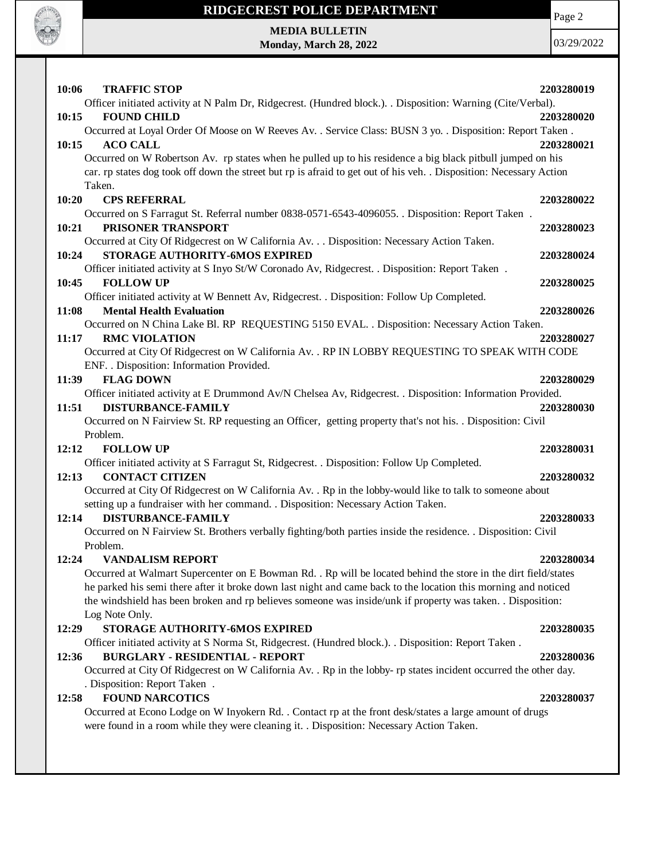

# **RIDGECREST POLICE DEPARTMENT MEDIA BULLETIN**

**Monday, March 28, 2022**

Page 2

| <b>TRAFFIC STOP</b><br>10:06                                                                                                            | 2203280019 |
|-----------------------------------------------------------------------------------------------------------------------------------------|------------|
| Officer initiated activity at N Palm Dr, Ridgecrest. (Hundred block.). Disposition: Warning (Cite/Verbal).                              |            |
| 10:15<br><b>FOUND CHILD</b>                                                                                                             | 2203280020 |
| Occurred at Loyal Order Of Moose on W Reeves Av. . Service Class: BUSN 3 yo. . Disposition: Report Taken.                               |            |
| 10:15<br><b>ACO CALL</b>                                                                                                                | 2203280021 |
| Occurred on W Robertson Av. rp states when he pulled up to his residence a big black pitbull jumped on his                              |            |
| car. rp states dog took off down the street but rp is afraid to get out of his veh. . Disposition: Necessary Action                     |            |
| Taken.                                                                                                                                  |            |
| 10:20<br><b>CPS REFERRAL</b>                                                                                                            | 2203280022 |
| Occurred on S Farragut St. Referral number 0838-0571-6543-4096055. . Disposition: Report Taken.                                         |            |
| PRISONER TRANSPORT<br>10:21                                                                                                             | 2203280023 |
| Occurred at City Of Ridgecrest on W California Av. Disposition: Necessary Action Taken.                                                 |            |
| STORAGE AUTHORITY-6MOS EXPIRED<br>10:24                                                                                                 | 2203280024 |
| Officer initiated activity at S Inyo St/W Coronado Av, Ridgecrest. . Disposition: Report Taken.                                         |            |
| 10:45<br><b>FOLLOW UP</b>                                                                                                               | 2203280025 |
| Officer initiated activity at W Bennett Av, Ridgecrest. . Disposition: Follow Up Completed.<br>11:08<br><b>Mental Health Evaluation</b> | 2203280026 |
| Occurred on N China Lake Bl. RP REQUESTING 5150 EVAL. . Disposition: Necessary Action Taken.                                            |            |
| <b>RMC VIOLATION</b><br>11:17                                                                                                           | 2203280027 |
| Occurred at City Of Ridgecrest on W California Av. . RP IN LOBBY REQUESTING TO SPEAK WITH CODE                                          |            |
| ENF. . Disposition: Information Provided.                                                                                               |            |
| <b>FLAG DOWN</b><br>11:39                                                                                                               | 2203280029 |
| Officer initiated activity at E Drummond Av/N Chelsea Av, Ridgecrest. . Disposition: Information Provided.                              |            |
| <b>DISTURBANCE-FAMILY</b><br>11:51                                                                                                      | 2203280030 |
| Occurred on N Fairview St. RP requesting an Officer, getting property that's not his. . Disposition: Civil                              |            |
| Problem.                                                                                                                                |            |
| 12:12<br><b>FOLLOW UP</b>                                                                                                               | 2203280031 |
| Officer initiated activity at S Farragut St, Ridgecrest. . Disposition: Follow Up Completed.                                            |            |
| <b>CONTACT CITIZEN</b><br>12:13                                                                                                         | 2203280032 |
| Occurred at City Of Ridgecrest on W California Av. . Rp in the lobby-would like to talk to someone about                                |            |
| setting up a fundraiser with her command. . Disposition: Necessary Action Taken.                                                        |            |
| <b>DISTURBANCE-FAMILY</b><br>12:14                                                                                                      | 2203280033 |
| Occurred on N Fairview St. Brothers verbally fighting/both parties inside the residence. . Disposition: Civil<br>Problem.               |            |
| 12:24<br><b>VANDALISM REPORT</b>                                                                                                        | 2203280034 |
| Occurred at Walmart Supercenter on E Bowman Rd. . Rp will be located behind the store in the dirt field/states                          |            |
| he parked his semi there after it broke down last night and came back to the location this morning and noticed                          |            |
| the windshield has been broken and rp believes someone was inside/unk if property was taken. . Disposition:                             |            |
| Log Note Only.                                                                                                                          |            |
| STORAGE AUTHORITY-6MOS EXPIRED<br>12:29                                                                                                 | 2203280035 |
| Officer initiated activity at S Norma St, Ridgecrest. (Hundred block.). . Disposition: Report Taken.                                    |            |
| <b>BURGLARY - RESIDENTIAL - REPORT</b><br>12:36                                                                                         | 2203280036 |
| Occurred at City Of Ridgecrest on W California Av. . Rp in the lobby- rp states incident occurred the other day.                        |            |
| . Disposition: Report Taken.                                                                                                            |            |
| <b>FOUND NARCOTICS</b><br>12:58                                                                                                         | 2203280037 |
| Occurred at Econo Lodge on W Inyokern Rd. . Contact rp at the front desk/states a large amount of drugs                                 |            |
| were found in a room while they were cleaning it. . Disposition: Necessary Action Taken.                                                |            |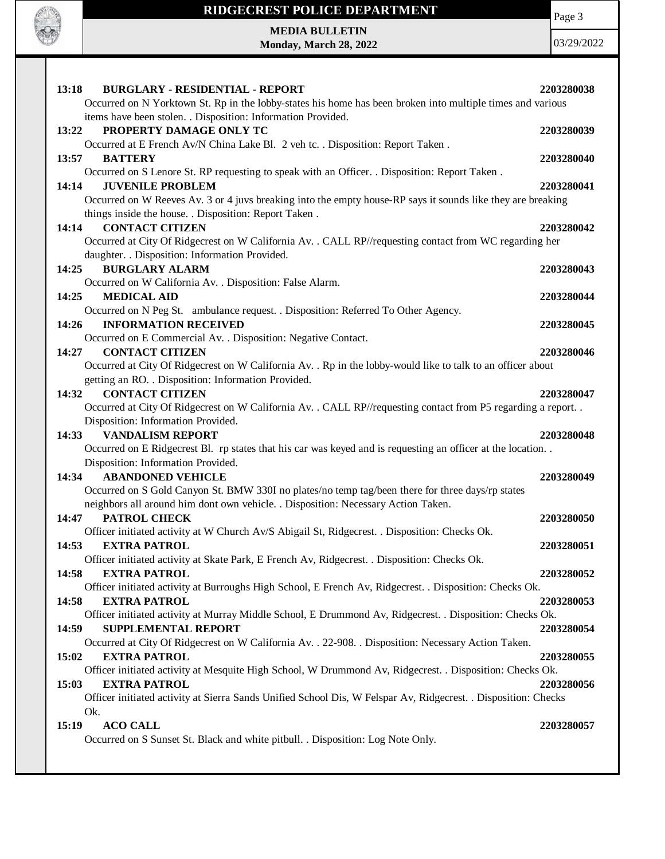

#### **15:19 ACO CALL 2203280057**

Occurred on S Sunset St. Black and white pitbull. . Disposition: Log Note Only.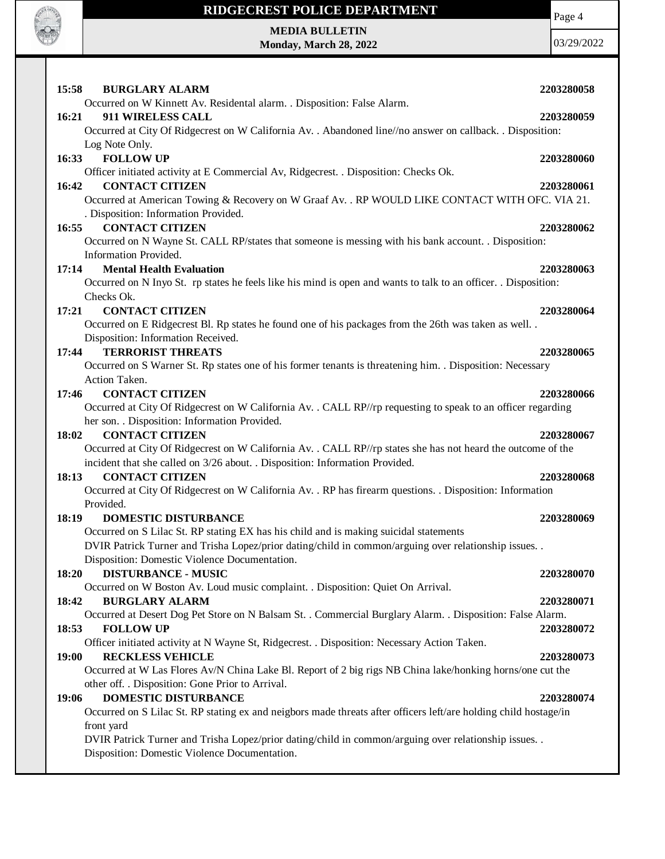

### **RIDGECREST POLICE DEPARTMENT**

**MEDIA BULLETIN Monday, March 28, 2022** Page 4

| 15:58<br><b>BURGLARY ALARM</b>                                                                                                          | 2203280058 |
|-----------------------------------------------------------------------------------------------------------------------------------------|------------|
| Occurred on W Kinnett Av. Residental alarm. . Disposition: False Alarm.                                                                 |            |
| 16:21<br>911 WIRELESS CALL                                                                                                              | 2203280059 |
| Occurred at City Of Ridgecrest on W California Av. . Abandoned line//no answer on callback. . Disposition:                              |            |
| Log Note Only.                                                                                                                          |            |
| <b>FOLLOW UP</b><br>16:33                                                                                                               | 2203280060 |
| Officer initiated activity at E Commercial Av, Ridgecrest. . Disposition: Checks Ok.                                                    |            |
| <b>CONTACT CITIZEN</b><br>16:42                                                                                                         | 2203280061 |
| Occurred at American Towing & Recovery on W Graaf Av. . RP WOULD LIKE CONTACT WITH OFC. VIA 21.<br>. Disposition: Information Provided. |            |
| <b>CONTACT CITIZEN</b><br>16:55                                                                                                         | 2203280062 |
| Occurred on N Wayne St. CALL RP/states that someone is messing with his bank account. . Disposition:                                    |            |
| Information Provided.                                                                                                                   |            |
| 17:14<br><b>Mental Health Evaluation</b>                                                                                                | 2203280063 |
| Occurred on N Inyo St. rp states he feels like his mind is open and wants to talk to an officer. . Disposition:                         |            |
| Checks Ok.                                                                                                                              |            |
| <b>CONTACT CITIZEN</b><br>17:21                                                                                                         | 2203280064 |
| Occurred on E Ridgecrest Bl. Rp states he found one of his packages from the 26th was taken as well                                     |            |
| Disposition: Information Received.                                                                                                      |            |
| <b>TERRORIST THREATS</b><br>17:44                                                                                                       | 2203280065 |
| Occurred on S Warner St. Rp states one of his former tenants is threatening him. . Disposition: Necessary                               |            |
| Action Taken.                                                                                                                           |            |
| <b>CONTACT CITIZEN</b><br>17:46                                                                                                         | 2203280066 |
| Occurred at City Of Ridgecrest on W California Av. . CALL RP//rp requesting to speak to an officer regarding                            |            |
| her son. . Disposition: Information Provided.                                                                                           |            |
| <b>CONTACT CITIZEN</b><br>18:02                                                                                                         | 2203280067 |
| Occurred at City Of Ridgecrest on W California Av. . CALL RP//rp states she has not heard the outcome of the                            |            |
| incident that she called on 3/26 about. . Disposition: Information Provided.                                                            |            |
| <b>CONTACT CITIZEN</b><br>18:13                                                                                                         | 2203280068 |
| Occurred at City Of Ridgecrest on W California Av. . RP has firearm questions. . Disposition: Information                               |            |
| Provided.                                                                                                                               |            |
| <b>DOMESTIC DISTURBANCE</b><br>18:19                                                                                                    | 2203280069 |
| Occurred on S Lilac St. RP stating EX has his child and is making suicidal statements                                                   |            |
| DVIR Patrick Turner and Trisha Lopez/prior dating/child in common/arguing over relationship issues. .                                   |            |
| Disposition: Domestic Violence Documentation.                                                                                           |            |
| 18:20<br><b>DISTURBANCE - MUSIC</b>                                                                                                     | 2203280070 |
| Occurred on W Boston Av. Loud music complaint. . Disposition: Quiet On Arrival.                                                         |            |
| 18:42<br><b>BURGLARY ALARM</b>                                                                                                          | 2203280071 |
| Occurred at Desert Dog Pet Store on N Balsam St. . Commercial Burglary Alarm. . Disposition: False Alarm.                               |            |
| <b>FOLLOW UP</b><br>18:53                                                                                                               | 2203280072 |
| Officer initiated activity at N Wayne St, Ridgecrest. . Disposition: Necessary Action Taken.                                            |            |
| <b>RECKLESS VEHICLE</b><br>19:00                                                                                                        | 2203280073 |
| Occurred at W Las Flores Av/N China Lake Bl. Report of 2 big rigs NB China lake/honking horns/one cut the                               |            |
| other off. . Disposition: Gone Prior to Arrival.                                                                                        |            |
| DOMESTIC DISTURBANCE<br>19:06                                                                                                           | 2203280074 |
| Occurred on S Lilac St. RP stating ex and neigbors made threats after officers left/are holding child hostage/in                        |            |
| front yard                                                                                                                              |            |
| DVIR Patrick Turner and Trisha Lopez/prior dating/child in common/arguing over relationship issues. .                                   |            |
| Disposition: Domestic Violence Documentation.                                                                                           |            |
|                                                                                                                                         |            |